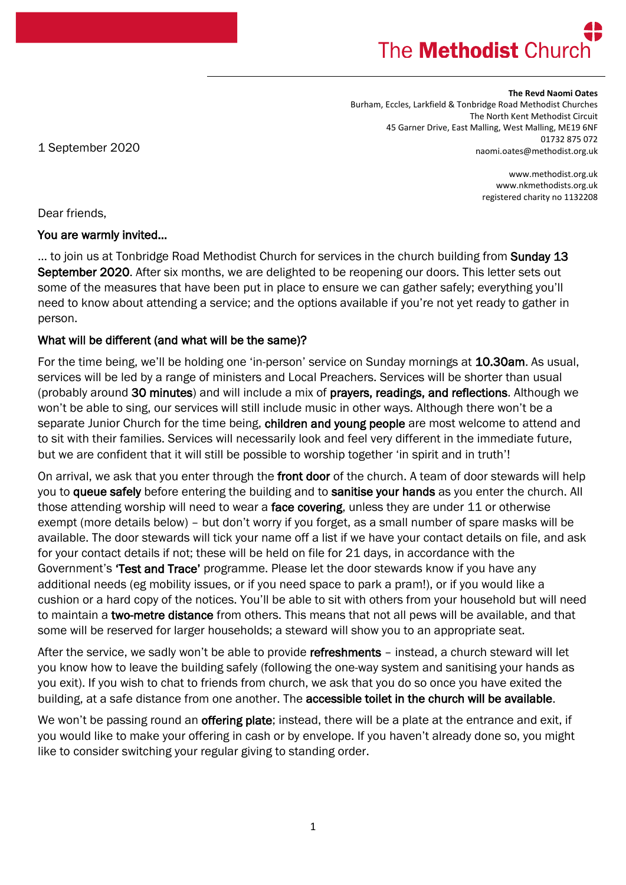# The **Methodist** Churd

#### **The Revd Naomi Oates**

Burham, Eccles, Larkfield & Tonbridge Road Methodist Churches The North Kent Methodist Circuit 45 Garner Drive, East Malling, West Malling, ME19 6NF 01732 875 072 naomi.oates@methodist.org.uk

1 September 2020

www.methodist.org.uk www.nkmethodists.org.uk registered charity no 1132208

Dear friends,

#### You are warmly invited…

... to join us at Tonbridge Road Methodist Church for services in the church building from Sunday 13 September 2020. After six months, we are delighted to be reopening our doors. This letter sets out some of the measures that have been put in place to ensure we can gather safely; everything you'll need to know about attending a service; and the options available if you're not yet ready to gather in person.

### What will be different (and what will be the same)?

For the time being, we'll be holding one 'in-person' service on Sunday mornings at 10.30am. As usual, services will be led by a range of ministers and Local Preachers. Services will be shorter than usual (probably around 30 minutes) and will include a mix of prayers, readings, and reflections. Although we won't be able to sing, our services will still include music in other ways. Although there won't be a separate Junior Church for the time being, children and young people are most welcome to attend and to sit with their families. Services will necessarily look and feel very different in the immediate future, but we are confident that it will still be possible to worship together 'in spirit and in truth'!

On arrival, we ask that you enter through the front door of the church. A team of door stewards will help you to queue safely before entering the building and to sanitise your hands as you enter the church. All those attending worship will need to wear a face covering, unless they are under 11 or otherwise exempt (more details below) – but don't worry if you forget, as a small number of spare masks will be available. The door stewards will tick your name off a list if we have your contact details on file, and ask for your contact details if not; these will be held on file for 21 days, in accordance with the Government's 'Test and Trace' programme. Please let the door stewards know if you have any additional needs (eg mobility issues, or if you need space to park a pram!), or if you would like a cushion or a hard copy of the notices. You'll be able to sit with others from your household but will need to maintain a two-metre distance from others. This means that not all pews will be available, and that some will be reserved for larger households; a steward will show you to an appropriate seat.

After the service, we sadly won't be able to provide refreshments - instead, a church steward will let you know how to leave the building safely (following the one-way system and sanitising your hands as you exit). If you wish to chat to friends from church, we ask that you do so once you have exited the building, at a safe distance from one another. The accessible toilet in the church will be available.

We won't be passing round an **offering plate**; instead, there will be a plate at the entrance and exit, if you would like to make your offering in cash or by envelope. If you haven't already done so, you might like to consider switching your regular giving to standing order.